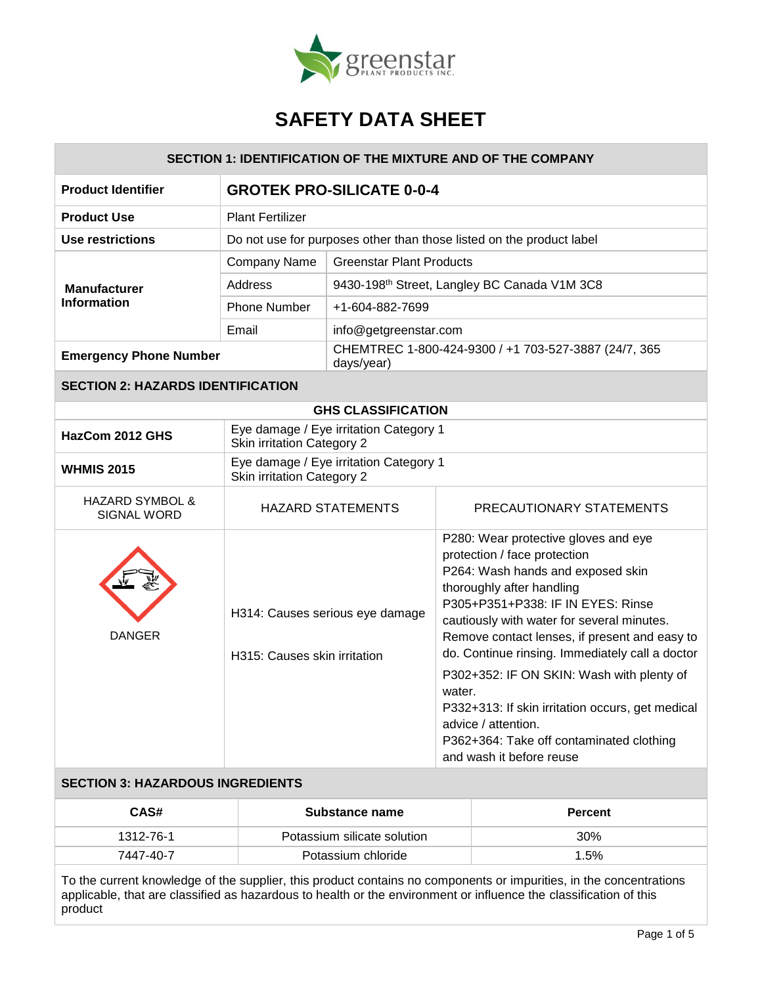

| <b>SECTION 1: IDENTIFICATION OF THE MIXTURE AND OF THE COMPANY</b> |                                                                             |                                                          |                                                                                                                                                                                                                                                                                                                                                                                                                                                                                                                                         |  |
|--------------------------------------------------------------------|-----------------------------------------------------------------------------|----------------------------------------------------------|-----------------------------------------------------------------------------------------------------------------------------------------------------------------------------------------------------------------------------------------------------------------------------------------------------------------------------------------------------------------------------------------------------------------------------------------------------------------------------------------------------------------------------------------|--|
| <b>Product Identifier</b>                                          | <b>GROTEK PRO-SILICATE 0-0-4</b>                                            |                                                          |                                                                                                                                                                                                                                                                                                                                                                                                                                                                                                                                         |  |
| <b>Product Use</b>                                                 | <b>Plant Fertilizer</b>                                                     |                                                          |                                                                                                                                                                                                                                                                                                                                                                                                                                                                                                                                         |  |
| <b>Use restrictions</b>                                            |                                                                             |                                                          | Do not use for purposes other than those listed on the product label                                                                                                                                                                                                                                                                                                                                                                                                                                                                    |  |
|                                                                    | Company Name                                                                | <b>Greenstar Plant Products</b>                          |                                                                                                                                                                                                                                                                                                                                                                                                                                                                                                                                         |  |
| <b>Manufacturer</b>                                                | Address                                                                     | 9430-198 <sup>th</sup> Street, Langley BC Canada V1M 3C8 |                                                                                                                                                                                                                                                                                                                                                                                                                                                                                                                                         |  |
| <b>Information</b>                                                 | <b>Phone Number</b>                                                         | +1-604-882-7699                                          |                                                                                                                                                                                                                                                                                                                                                                                                                                                                                                                                         |  |
|                                                                    | Email                                                                       | info@getgreenstar.com                                    |                                                                                                                                                                                                                                                                                                                                                                                                                                                                                                                                         |  |
| <b>Emergency Phone Number</b>                                      | days/year)                                                                  |                                                          | CHEMTREC 1-800-424-9300 / +1 703-527-3887 (24/7, 365                                                                                                                                                                                                                                                                                                                                                                                                                                                                                    |  |
| <b>SECTION 2: HAZARDS IDENTIFICATION</b>                           |                                                                             |                                                          |                                                                                                                                                                                                                                                                                                                                                                                                                                                                                                                                         |  |
| <b>GHS CLASSIFICATION</b>                                          |                                                                             |                                                          |                                                                                                                                                                                                                                                                                                                                                                                                                                                                                                                                         |  |
| HazCom 2012 GHS                                                    | Eye damage / Eye irritation Category 1<br><b>Skin irritation Category 2</b> |                                                          |                                                                                                                                                                                                                                                                                                                                                                                                                                                                                                                                         |  |
| <b>WHMIS 2015</b>                                                  | Eye damage / Eye irritation Category 1<br><b>Skin irritation Category 2</b> |                                                          |                                                                                                                                                                                                                                                                                                                                                                                                                                                                                                                                         |  |
| <b>HAZARD SYMBOL &amp;</b><br><b>SIGNAL WORD</b>                   | <b>HAZARD STATEMENTS</b>                                                    |                                                          | PRECAUTIONARY STATEMENTS                                                                                                                                                                                                                                                                                                                                                                                                                                                                                                                |  |
| <b>DANGER</b>                                                      | H314: Causes serious eye damage<br>H315: Causes skin irritation             |                                                          | P280: Wear protective gloves and eye<br>protection / face protection<br>P264: Wash hands and exposed skin<br>thoroughly after handling<br>P305+P351+P338: IF IN EYES: Rinse<br>cautiously with water for several minutes.<br>Remove contact lenses, if present and easy to<br>do. Continue rinsing. Immediately call a doctor<br>P302+352: IF ON SKIN: Wash with plenty of<br>water.<br>P332+313: If skin irritation occurs, get medical<br>advice / attention.<br>P362+364: Take off contaminated clothing<br>and wash it before reuse |  |

## **SECTION 3: HAZARDOUS INGREDIENTS**

| CAS#      | Substance name              | <b>Percent</b> |
|-----------|-----------------------------|----------------|
| 1312-76-1 | Potassium silicate solution | 30%            |
| 7447-40-7 | Potassium chloride          | 1.5%           |

To the current knowledge of the supplier, this product contains no components or impurities, in the concentrations applicable, that are classified as hazardous to health or the environment or influence the classification of this product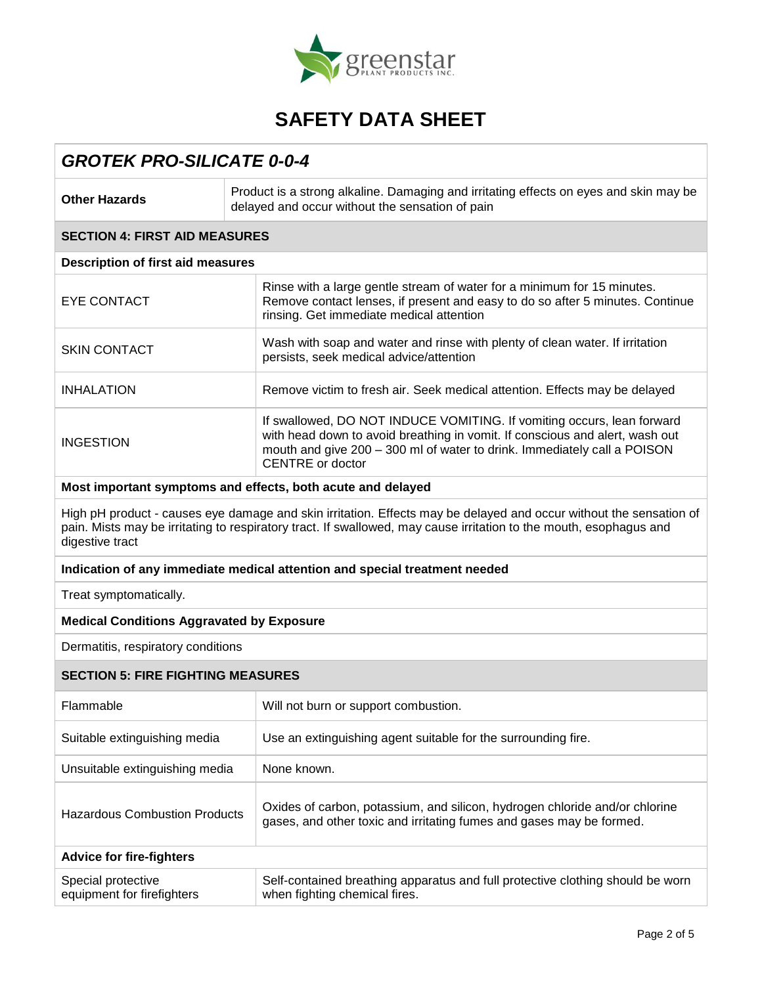

## *GROTEK PRO-SILICATE 0-0-4*

| <b>Other Hazards</b>                                                                                                                                                                                                                                        | Product is a strong alkaline. Damaging and irritating effects on eyes and skin may be<br>delayed and occur without the sensation of pain                                                                                                               |  |  |
|-------------------------------------------------------------------------------------------------------------------------------------------------------------------------------------------------------------------------------------------------------------|--------------------------------------------------------------------------------------------------------------------------------------------------------------------------------------------------------------------------------------------------------|--|--|
| <b>SECTION 4: FIRST AID MEASURES</b>                                                                                                                                                                                                                        |                                                                                                                                                                                                                                                        |  |  |
| <b>Description of first aid measures</b>                                                                                                                                                                                                                    |                                                                                                                                                                                                                                                        |  |  |
| <b>EYE CONTACT</b>                                                                                                                                                                                                                                          | Rinse with a large gentle stream of water for a minimum for 15 minutes.<br>Remove contact lenses, if present and easy to do so after 5 minutes. Continue<br>rinsing. Get immediate medical attention                                                   |  |  |
| <b>SKIN CONTACT</b>                                                                                                                                                                                                                                         | Wash with soap and water and rinse with plenty of clean water. If irritation<br>persists, seek medical advice/attention                                                                                                                                |  |  |
| <b>INHALATION</b>                                                                                                                                                                                                                                           | Remove victim to fresh air. Seek medical attention. Effects may be delayed                                                                                                                                                                             |  |  |
| <b>INGESTION</b>                                                                                                                                                                                                                                            | If swallowed, DO NOT INDUCE VOMITING. If vomiting occurs, lean forward<br>with head down to avoid breathing in vomit. If conscious and alert, wash out<br>mouth and give 200 - 300 ml of water to drink. Immediately call a POISON<br>CENTRE or doctor |  |  |
|                                                                                                                                                                                                                                                             | Most important symptoms and effects, both acute and delayed                                                                                                                                                                                            |  |  |
| High pH product - causes eye damage and skin irritation. Effects may be delayed and occur without the sensation of<br>pain. Mists may be irritating to respiratory tract. If swallowed, may cause irritation to the mouth, esophagus and<br>digestive tract |                                                                                                                                                                                                                                                        |  |  |
| Indication of any immediate medical attention and special treatment needed                                                                                                                                                                                  |                                                                                                                                                                                                                                                        |  |  |
| Treat symptomatically.                                                                                                                                                                                                                                      |                                                                                                                                                                                                                                                        |  |  |
| <b>Medical Conditions Aggravated by Exposure</b>                                                                                                                                                                                                            |                                                                                                                                                                                                                                                        |  |  |
| Dermatitis, respiratory conditions                                                                                                                                                                                                                          |                                                                                                                                                                                                                                                        |  |  |
| <b>SECTION 5: FIRE FIGHTING MEASURES</b>                                                                                                                                                                                                                    |                                                                                                                                                                                                                                                        |  |  |
| Flammable                                                                                                                                                                                                                                                   | Will not burn or support combustion.                                                                                                                                                                                                                   |  |  |
| Suitable extinguishing media                                                                                                                                                                                                                                | Use an extinguishing agent suitable for the surrounding fire.                                                                                                                                                                                          |  |  |
| Unsuitable extinguishing media                                                                                                                                                                                                                              | None known.                                                                                                                                                                                                                                            |  |  |
| <b>Hazardous Combustion Products</b>                                                                                                                                                                                                                        | Oxides of carbon, potassium, and silicon, hydrogen chloride and/or chlorine<br>gases, and other toxic and irritating fumes and gases may be formed.                                                                                                    |  |  |

| <b>Advice for fire-fighters</b> |                                                                                |
|---------------------------------|--------------------------------------------------------------------------------|
| Special protective              | Self-contained breathing apparatus and full protective clothing should be worn |
| equipment for firefighters      | when fighting chemical fires.                                                  |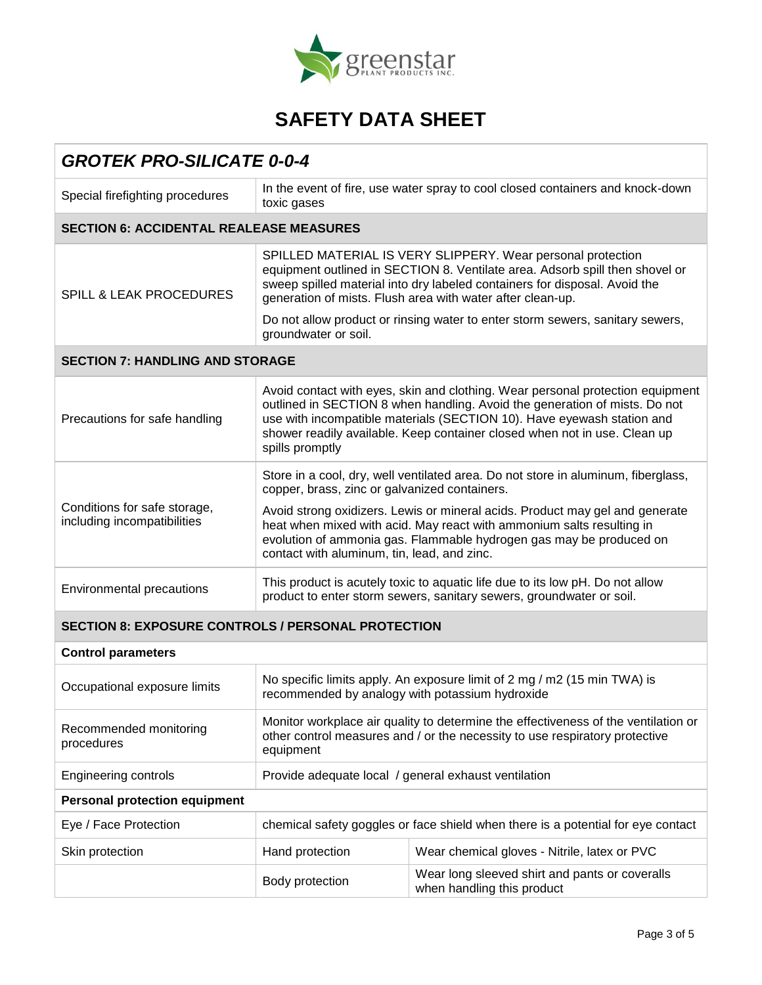

| <b>GROTEK PRO-SILICATE 0-0-4</b>                            |                                                                                                                                                                                                                                                                                                                                        |                                                                              |  |
|-------------------------------------------------------------|----------------------------------------------------------------------------------------------------------------------------------------------------------------------------------------------------------------------------------------------------------------------------------------------------------------------------------------|------------------------------------------------------------------------------|--|
| Special firefighting procedures                             | In the event of fire, use water spray to cool closed containers and knock-down<br>toxic gases                                                                                                                                                                                                                                          |                                                                              |  |
| <b>SECTION 6: ACCIDENTAL REALEASE MEASURES</b>              |                                                                                                                                                                                                                                                                                                                                        |                                                                              |  |
| <b>SPILL &amp; LEAK PROCEDURES</b>                          | SPILLED MATERIAL IS VERY SLIPPERY. Wear personal protection<br>equipment outlined in SECTION 8. Ventilate area. Adsorb spill then shovel or<br>sweep spilled material into dry labeled containers for disposal. Avoid the<br>generation of mists. Flush area with water after clean-up.                                                |                                                                              |  |
|                                                             | Do not allow product or rinsing water to enter storm sewers, sanitary sewers,<br>groundwater or soil.                                                                                                                                                                                                                                  |                                                                              |  |
| <b>SECTION 7: HANDLING AND STORAGE</b>                      |                                                                                                                                                                                                                                                                                                                                        |                                                                              |  |
| Precautions for safe handling                               | Avoid contact with eyes, skin and clothing. Wear personal protection equipment<br>outlined in SECTION 8 when handling. Avoid the generation of mists. Do not<br>use with incompatible materials (SECTION 10). Have eyewash station and<br>shower readily available. Keep container closed when not in use. Clean up<br>spills promptly |                                                                              |  |
|                                                             | Store in a cool, dry, well ventilated area. Do not store in aluminum, fiberglass,<br>copper, brass, zinc or galvanized containers.                                                                                                                                                                                                     |                                                                              |  |
| Conditions for safe storage,<br>including incompatibilities | Avoid strong oxidizers. Lewis or mineral acids. Product may gel and generate<br>heat when mixed with acid. May react with ammonium salts resulting in<br>evolution of ammonia gas. Flammable hydrogen gas may be produced on<br>contact with aluminum, tin, lead, and zinc.                                                            |                                                                              |  |
| <b>Environmental precautions</b>                            | This product is acutely toxic to aquatic life due to its low pH. Do not allow<br>product to enter storm sewers, sanitary sewers, groundwater or soil.                                                                                                                                                                                  |                                                                              |  |
| <b>SECTION 8: EXPOSURE CONTROLS / PERSONAL PROTECTION</b>   |                                                                                                                                                                                                                                                                                                                                        |                                                                              |  |
| <b>Control parameters</b>                                   |                                                                                                                                                                                                                                                                                                                                        |                                                                              |  |
| Occupational exposure limits                                | No specific limits apply. An exposure limit of 2 mg / m2 (15 min TWA) is<br>recommended by analogy with potassium hydroxide                                                                                                                                                                                                            |                                                                              |  |
| Recommended monitoring<br>procedures                        | Monitor workplace air quality to determine the effectiveness of the ventilation or<br>other control measures and / or the necessity to use respiratory protective<br>equipment                                                                                                                                                         |                                                                              |  |
| <b>Engineering controls</b>                                 | Provide adequate local / general exhaust ventilation                                                                                                                                                                                                                                                                                   |                                                                              |  |
| <b>Personal protection equipment</b>                        |                                                                                                                                                                                                                                                                                                                                        |                                                                              |  |
| Eye / Face Protection                                       | chemical safety goggles or face shield when there is a potential for eye contact                                                                                                                                                                                                                                                       |                                                                              |  |
| Skin protection                                             | Hand protection                                                                                                                                                                                                                                                                                                                        | Wear chemical gloves - Nitrile, latex or PVC                                 |  |
|                                                             | Body protection                                                                                                                                                                                                                                                                                                                        | Wear long sleeved shirt and pants or coveralls<br>when handling this product |  |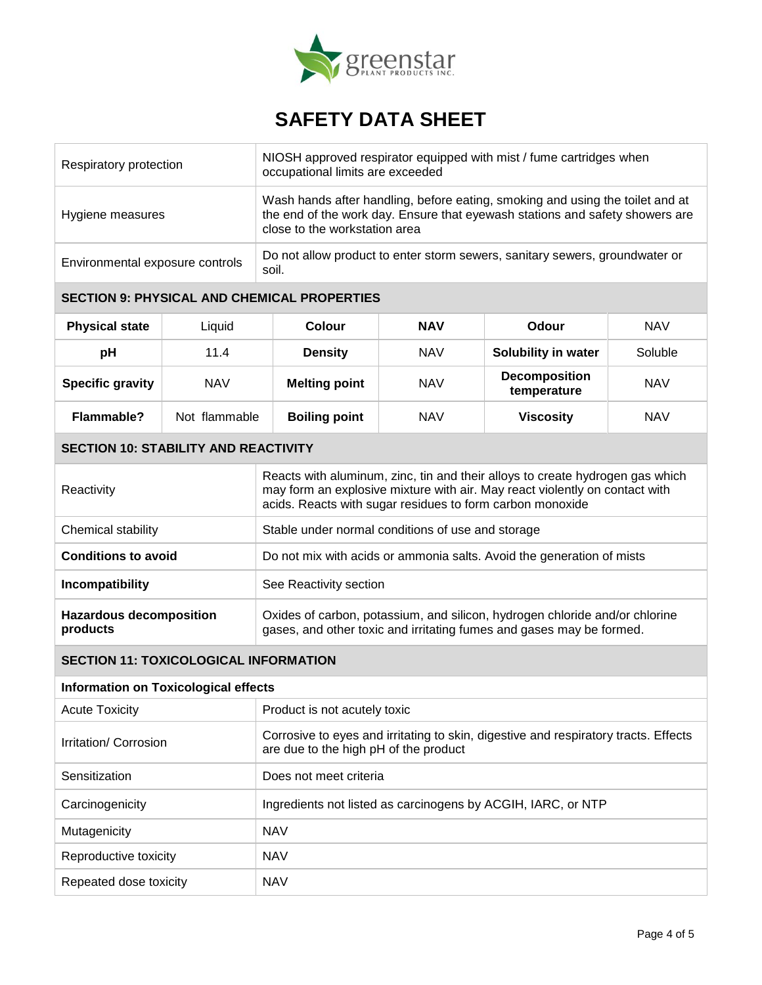

| Respiratory protection                                                                                                                                |               | NIOSH approved respirator equipped with mist / fume cartridges when<br>occupational limits are exceeded                                                                                                                   |            |                                     |            |  |
|-------------------------------------------------------------------------------------------------------------------------------------------------------|---------------|---------------------------------------------------------------------------------------------------------------------------------------------------------------------------------------------------------------------------|------------|-------------------------------------|------------|--|
| Hygiene measures                                                                                                                                      |               | Wash hands after handling, before eating, smoking and using the toilet and at<br>the end of the work day. Ensure that eyewash stations and safety showers are<br>close to the workstation area                            |            |                                     |            |  |
| Environmental exposure controls                                                                                                                       |               | Do not allow product to enter storm sewers, sanitary sewers, groundwater or<br>soil.                                                                                                                                      |            |                                     |            |  |
|                                                                                                                                                       |               | <b>SECTION 9: PHYSICAL AND CHEMICAL PROPERTIES</b>                                                                                                                                                                        |            |                                     |            |  |
| <b>Physical state</b>                                                                                                                                 | Liquid        | <b>Colour</b>                                                                                                                                                                                                             | <b>NAV</b> | Odour                               | <b>NAV</b> |  |
| pH                                                                                                                                                    | 11.4          | <b>Density</b>                                                                                                                                                                                                            | <b>NAV</b> | Solubility in water                 | Soluble    |  |
| <b>Specific gravity</b>                                                                                                                               | <b>NAV</b>    | <b>Melting point</b>                                                                                                                                                                                                      | <b>NAV</b> | <b>Decomposition</b><br>temperature | <b>NAV</b> |  |
| <b>Flammable?</b>                                                                                                                                     | Not flammable | <b>Boiling point</b>                                                                                                                                                                                                      | <b>NAV</b> | <b>Viscosity</b>                    | <b>NAV</b> |  |
| <b>SECTION 10: STABILITY AND REACTIVITY</b>                                                                                                           |               |                                                                                                                                                                                                                           |            |                                     |            |  |
| Reactivity                                                                                                                                            |               | Reacts with aluminum, zinc, tin and their alloys to create hydrogen gas which<br>may form an explosive mixture with air. May react violently on contact with<br>acids. Reacts with sugar residues to form carbon monoxide |            |                                     |            |  |
| Chemical stability                                                                                                                                    |               | Stable under normal conditions of use and storage                                                                                                                                                                         |            |                                     |            |  |
| <b>Conditions to avoid</b>                                                                                                                            |               | Do not mix with acids or ammonia salts. Avoid the generation of mists                                                                                                                                                     |            |                                     |            |  |
| Incompatibility                                                                                                                                       |               | See Reactivity section                                                                                                                                                                                                    |            |                                     |            |  |
| <b>Hazardous decomposition</b><br>products                                                                                                            |               | Oxides of carbon, potassium, and silicon, hydrogen chloride and/or chlorine<br>gases, and other toxic and irritating fumes and gases may be formed.                                                                       |            |                                     |            |  |
| <b>SECTION 11: TOXICOLOGICAL INFORMATION</b>                                                                                                          |               |                                                                                                                                                                                                                           |            |                                     |            |  |
| <b>Information on Toxicological effects</b>                                                                                                           |               |                                                                                                                                                                                                                           |            |                                     |            |  |
| <b>Acute Toxicity</b><br>Product is not acutely toxic                                                                                                 |               |                                                                                                                                                                                                                           |            |                                     |            |  |
| Corrosive to eyes and irritating to skin, digestive and respiratory tracts. Effects<br>Irritation/ Corrosion<br>are due to the high pH of the product |               |                                                                                                                                                                                                                           |            |                                     |            |  |
| Sensitization                                                                                                                                         |               | Does not meet criteria                                                                                                                                                                                                    |            |                                     |            |  |
| Carcinogenicity                                                                                                                                       |               | Ingredients not listed as carcinogens by ACGIH, IARC, or NTP                                                                                                                                                              |            |                                     |            |  |
| Mutagenicity                                                                                                                                          |               | <b>NAV</b>                                                                                                                                                                                                                |            |                                     |            |  |
| Reproductive toxicity<br><b>NAV</b>                                                                                                                   |               |                                                                                                                                                                                                                           |            |                                     |            |  |
| Repeated dose toxicity                                                                                                                                |               | <b>NAV</b>                                                                                                                                                                                                                |            |                                     |            |  |